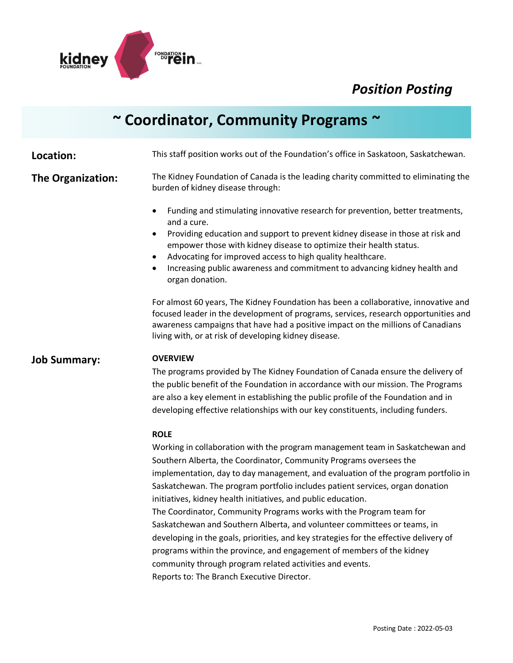

# **~ Coordinator, Community Programs ~**

**Location:** This staff position works out of the Foundation's office in Saskatoon, Saskatchewan. **The Organization:** The Kidney Foundation of Canada is the leading charity committed to eliminating the burden of kidney disease through: • Funding and stimulating innovative research for prevention, better treatments, and a cure. • Providing education and support to prevent kidney disease in those at risk and empower those with kidney disease to optimize their health status. • Advocating for improved access to high quality healthcare. • Increasing public awareness and commitment to advancing kidney health and organ donation. For almost 60 years, The Kidney Foundation has been a collaborative, innovative and focused leader in the development of programs, services, research opportunities and awareness campaigns that have had a positive impact on the millions of Canadians living with, or at risk of developing kidney disease. **Job Summary: OVERVIEW**  The programs provided by The Kidney Foundation of Canada ensure the delivery of the public benefit of the Foundation in accordance with our mission. The Programs are also a key element in establishing the public profile of the Foundation and in developing effective relationships with our key constituents, including funders. **ROLE**  Working in collaboration with the program management team in Saskatchewan and Southern Alberta, the Coordinator, Community Programs oversees the implementation, day to day management, and evaluation of the program portfolio in

> Saskatchewan. The program portfolio includes patient services, organ donation initiatives, kidney health initiatives, and public education. The Coordinator, Community Programs works with the Program team for Saskatchewan and Southern Alberta, and volunteer committees or teams, in developing in the goals, priorities, and key strategies for the effective delivery of programs within the province, and engagement of members of the kidney community through program related activities and events. Reports to: The Branch Executive Director.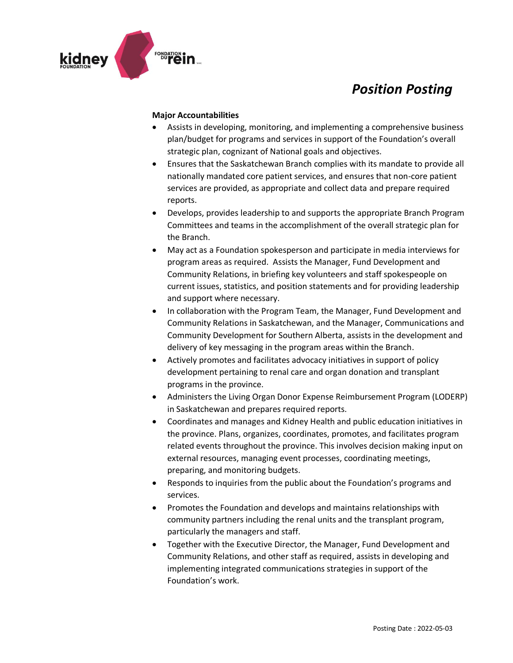

#### **Major Accountabilities**

- Assists in developing, monitoring, and implementing a comprehensive business plan/budget for programs and services in support of the Foundation's overall strategic plan, cognizant of National goals and objectives.
- Ensures that the Saskatchewan Branch complies with its mandate to provide all nationally mandated core patient services, and ensures that non-core patient services are provided, as appropriate and collect data and prepare required reports.
- Develops, provides leadership to and supports the appropriate Branch Program Committees and teams in the accomplishment of the overall strategic plan for the Branch.
- May act as a Foundation spokesperson and participate in media interviews for program areas as required. Assists the Manager, Fund Development and Community Relations, in briefing key volunteers and staff spokespeople on current issues, statistics, and position statements and for providing leadership and support where necessary.
- In collaboration with the Program Team, the Manager, Fund Development and Community Relations in Saskatchewan, and the Manager, Communications and Community Development for Southern Alberta, assists in the development and delivery of key messaging in the program areas within the Branch.
- Actively promotes and facilitates advocacy initiatives in support of policy development pertaining to renal care and organ donation and transplant programs in the province.
- Administers the Living Organ Donor Expense Reimbursement Program (LODERP) in Saskatchewan and prepares required reports.
- Coordinates and manages and Kidney Health and public education initiatives in the province. Plans, organizes, coordinates, promotes, and facilitates program related events throughout the province. This involves decision making input on external resources, managing event processes, coordinating meetings, preparing, and monitoring budgets.
- Responds to inquiries from the public about the Foundation's programs and services.
- Promotes the Foundation and develops and maintains relationships with community partners including the renal units and the transplant program, particularly the managers and staff.
- Together with the Executive Director, the Manager, Fund Development and Community Relations, and other staff as required, assists in developing and implementing integrated communications strategies in support of the Foundation's work.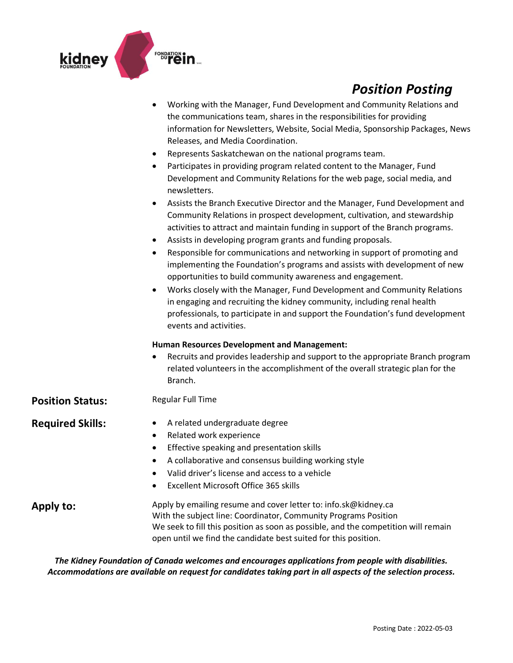

|                         | Working with the Manager, Fund Development and Community Relations and<br>the communications team, shares in the responsibilities for providing<br>information for Newsletters, Website, Social Media, Sponsorship Packages, News<br>Releases, and Media Coordination.<br>Represents Saskatchewan on the national programs team.<br>٠<br>Participates in providing program related content to the Manager, Fund<br>٠<br>Development and Community Relations for the web page, social media, and<br>newsletters.<br>Assists the Branch Executive Director and the Manager, Fund Development and<br>٠<br>Community Relations in prospect development, cultivation, and stewardship<br>activities to attract and maintain funding in support of the Branch programs.<br>Assists in developing program grants and funding proposals.<br>٠<br>Responsible for communications and networking in support of promoting and<br>٠<br>implementing the Foundation's programs and assists with development of new<br>opportunities to build community awareness and engagement.<br>Works closely with the Manager, Fund Development and Community Relations<br>٠<br>in engaging and recruiting the kidney community, including renal health<br>professionals, to participate in and support the Foundation's fund development<br>events and activities. |
|-------------------------|---------------------------------------------------------------------------------------------------------------------------------------------------------------------------------------------------------------------------------------------------------------------------------------------------------------------------------------------------------------------------------------------------------------------------------------------------------------------------------------------------------------------------------------------------------------------------------------------------------------------------------------------------------------------------------------------------------------------------------------------------------------------------------------------------------------------------------------------------------------------------------------------------------------------------------------------------------------------------------------------------------------------------------------------------------------------------------------------------------------------------------------------------------------------------------------------------------------------------------------------------------------------------------------------------------------------------------------------|
|                         | <b>Human Resources Development and Management:</b><br>Recruits and provides leadership and support to the appropriate Branch program<br>related volunteers in the accomplishment of the overall strategic plan for the<br>Branch.                                                                                                                                                                                                                                                                                                                                                                                                                                                                                                                                                                                                                                                                                                                                                                                                                                                                                                                                                                                                                                                                                                           |
| <b>Position Status:</b> | Regular Full Time                                                                                                                                                                                                                                                                                                                                                                                                                                                                                                                                                                                                                                                                                                                                                                                                                                                                                                                                                                                                                                                                                                                                                                                                                                                                                                                           |
| <b>Required Skills:</b> | A related undergraduate degree<br>٠<br>Related work experience<br>٠<br>Effective speaking and presentation skills<br>٠<br>A collaborative and consensus building working style<br>٠<br>Valid driver's license and access to a vehicle<br><b>Excellent Microsoft Office 365 skills</b>                                                                                                                                                                                                                                                                                                                                                                                                                                                                                                                                                                                                                                                                                                                                                                                                                                                                                                                                                                                                                                                       |
| Apply to:               | Apply by emailing resume and cover letter to: info.sk@kidney.ca<br>With the subject line: Coordinator, Community Programs Position<br>We seek to fill this position as soon as possible, and the competition will remain<br>open until we find the candidate best suited for this position.                                                                                                                                                                                                                                                                                                                                                                                                                                                                                                                                                                                                                                                                                                                                                                                                                                                                                                                                                                                                                                                 |

*The Kidney Foundation of Canada welcomes and encourages applications from people with disabilities. Accommodations are available on request for candidates taking part in all aspects of the selection process.*